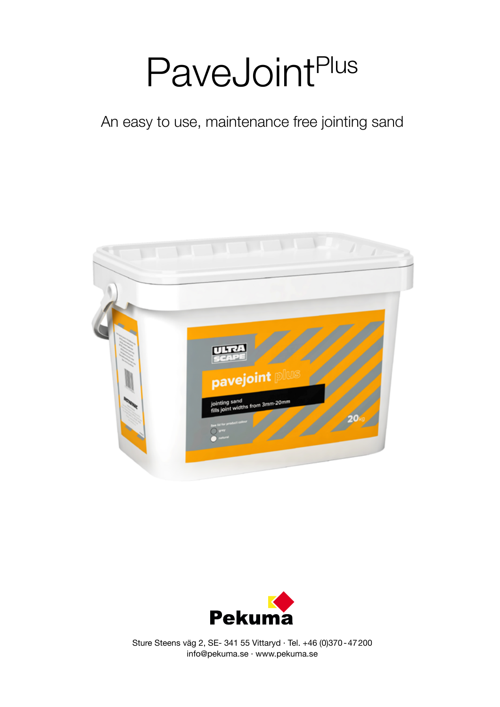# PaveJointPlus

An easy to use, maintenance free jointing sand





Sture Steens väg 2, SE- 341 55 Vittaryd · Tel. +46 (0)370-47200 info@pekuma.se · www.pekuma.se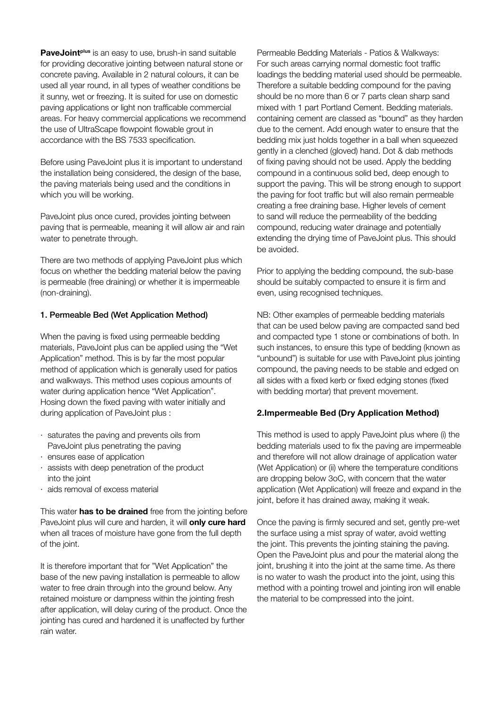**PaveJoint<sup>plus</sup>** is an easy to use, brush-in sand suitable for providing decorative jointing between natural stone or concrete paving. Available in 2 natural colours, it can be used all year round, in all types of weather conditions be it sunny, wet or freezing. It is suited for use on domestic paving applications or light non trafficable commercial areas. For heavy commercial applications we recommend the use of UltraScape flowpoint flowable grout in accordance with the BS 7533 specification.

Before using PaveJoint plus it is important to understand the installation being considered, the design of the base, the paving materials being used and the conditions in which you will be working.

PaveJoint plus once cured, provides jointing between paving that is permeable, meaning it will allow air and rain water to penetrate through.

There are two methods of applying PaveJoint plus which focus on whether the bedding material below the paving is permeable (free draining) or whether it is impermeable (non-draining).

#### 1. Permeable Bed (Wet Application Method)

When the paving is fixed using permeable bedding materials, PaveJoint plus can be applied using the "Wet Application" method. This is by far the most popular method of application which is generally used for patios and walkways. This method uses copious amounts of water during application hence "Wet Application". Hosing down the fixed paving with water initially and during application of PaveJoint plus :

- · saturates the paving and prevents oils from PaveJoint plus penetrating the paving
- · ensures ease of application
- · assists with deep penetration of the product into the joint
- · aids removal of excess material

This water **has to be drained** free from the jointing before PaveJoint plus will cure and harden, it will **only cure hard** when all traces of moisture have gone from the full depth of the joint.

It is therefore important that for "Wet Application" the base of the new paving installation is permeable to allow water to free drain through into the ground below. Any retained moisture or dampness within the jointing fresh after application, will delay curing of the product. Once the jointing has cured and hardened it is unaffected by further rain water.

Permeable Bedding Materials - Patios & Walkways: For such areas carrying normal domestic foot traffic loadings the bedding material used should be permeable. Therefore a suitable bedding compound for the paving should be no more than 6 or 7 parts clean sharp sand mixed with 1 part Portland Cement. Bedding materials. containing cement are classed as "bound" as they harden due to the cement. Add enough water to ensure that the bedding mix just holds together in a ball when squeezed gently in a clenched (gloved) hand. Dot & dab methods of fixing paving should not be used. Apply the bedding compound in a continuous solid bed, deep enough to support the paving. This will be strong enough to support the paving for foot traffic but will also remain permeable creating a free draining base. Higher levels of cement to sand will reduce the permeability of the bedding compound, reducing water drainage and potentially extending the drying time of PaveJoint plus. This should be avoided.

Prior to applying the bedding compound, the sub-base should be suitably compacted to ensure it is firm and even, using recognised techniques.

NB: Other examples of permeable bedding materials that can be used below paving are compacted sand bed and compacted type 1 stone or combinations of both. In such instances, to ensure this type of bedding (known as "unbound") is suitable for use with PaveJoint plus jointing compound, the paving needs to be stable and edged on all sides with a fixed kerb or fixed edging stones (fixed with bedding mortar) that prevent movement.

## **2.Impermeable Bed (Dry Application Method)**

This method is used to apply PaveJoint plus where (i) the bedding materials used to fix the paving are impermeable and therefore will not allow drainage of application water (Wet Application) or (ii) where the temperature conditions are dropping below 3oC, with concern that the water application (Wet Application) will freeze and expand in the joint, before it has drained away, making it weak.

Once the paving is firmly secured and set, gently pre-wet the surface using a mist spray of water, avoid wetting the joint. This prevents the jointing staining the paving. Open the PaveJoint plus and pour the material along the joint, brushing it into the joint at the same time. As there is no water to wash the product into the joint, using this method with a pointing trowel and jointing iron will enable the material to be compressed into the joint.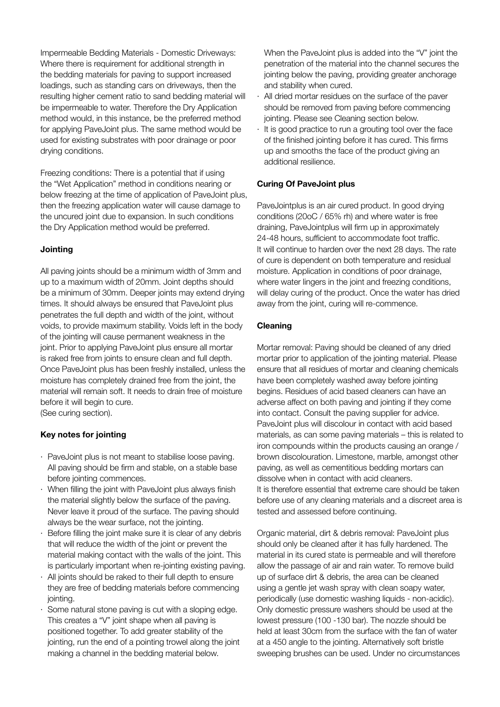Impermeable Bedding Materials - Domestic Driveways: Where there is requirement for additional strength in the bedding materials for paving to support increased loadings, such as standing cars on driveways, then the resulting higher cement ratio to sand bedding material will be impermeable to water. Therefore the Dry Application method would, in this instance, be the preferred method for applying PaveJoint plus. The same method would be used for existing substrates with poor drainage or poor drying conditions.

Freezing conditions: There is a potential that if using the "Wet Application" method in conditions nearing or below freezing at the time of application of PaveJoint plus, then the freezing application water will cause damage to the uncured joint due to expansion. In such conditions the Dry Application method would be preferred.

## **Jointing**

All paving joints should be a minimum width of 3mm and up to a maximum width of 20mm. Joint depths should be a minimum of 30mm. Deeper joints may extend drying times. It should always be ensured that PaveJoint plus penetrates the full depth and width of the joint, without voids, to provide maximum stability. Voids left in the body of the jointing will cause permanent weakness in the joint. Prior to applying PaveJoint plus ensure all mortar is raked free from joints to ensure clean and full depth. Once PaveJoint plus has been freshly installed, unless the moisture has completely drained free from the joint, the material will remain soft. It needs to drain free of moisture before it will begin to cure. (See curing section).

# **Key notes for jointing**

- · PaveJoint plus is not meant to stabilise loose paving. All paving should be firm and stable, on a stable base before jointing commences.
- · When filling the joint with PaveJoint plus always finish the material slightly below the surface of the paving. Never leave it proud of the surface. The paving should always be the wear surface, not the jointing.
- Before filling the joint make sure it is clear of any debris that will reduce the width of the joint or prevent the material making contact with the walls of the joint. This is particularly important when re-jointing existing paving.
- All joints should be raked to their full depth to ensure they are free of bedding materials before commencing jointing.
- · Some natural stone paving is cut with a sloping edge. This creates a "V" joint shape when all paving is positioned together. To add greater stability of the jointing, run the end of a pointing trowel along the joint making a channel in the bedding material below.

When the PaveJoint plus is added into the "V" joint the penetration of the material into the channel secures the jointing below the paving, providing greater anchorage and stability when cured.

- All dried mortar residues on the surface of the paver should be removed from paving before commencing jointing. Please see Cleaning section below.
- · It is good practice to run a grouting tool over the face of the finished jointing before it has cured. This firms up and smooths the face of the product giving an additional resilience.

# **Curing Of PaveJoint plus**

PaveJointplus is an air cured product. In good drying conditions (20oC / 65% rh) and where water is free draining, PaveJointplus will firm up in approximately 24-48 hours, sufficient to accommodate foot traffic. It will continue to harden over the next 28 days. The rate of cure is dependent on both temperature and residual moisture. Application in conditions of poor drainage, where water lingers in the joint and freezing conditions, will delay curing of the product. Once the water has dried away from the joint, curing will re-commence.

# **Cleaning**

Mortar removal: Paving should be cleaned of any dried mortar prior to application of the jointing material. Please ensure that all residues of mortar and cleaning chemicals have been completely washed away before jointing begins. Residues of acid based cleaners can have an adverse affect on both paving and jointing if they come into contact. Consult the paving supplier for advice. PaveJoint plus will discolour in contact with acid based materials, as can some paving materials – this is related to iron compounds within the products causing an orange / brown discolouration. Limestone, marble, amongst other paving, as well as cementitious bedding mortars can dissolve when in contact with acid cleaners. It is therefore essential that extreme care should be taken before use of any cleaning materials and a discreet area is tested and assessed before continuing.

Organic material, dirt & debris removal: PaveJoint plus should only be cleaned after it has fully hardened. The material in its cured state is permeable and will therefore allow the passage of air and rain water. To remove build up of surface dirt & debris, the area can be cleaned using a gentle jet wash spray with clean soapy water, periodically (use domestic washing liquids - non-acidic). Only domestic pressure washers should be used at the lowest pressure (100 -130 bar). The nozzle should be held at least 30cm from the surface with the fan of water at a 450 angle to the jointing. Alternatively soft bristle sweeping brushes can be used. Under no circumstances